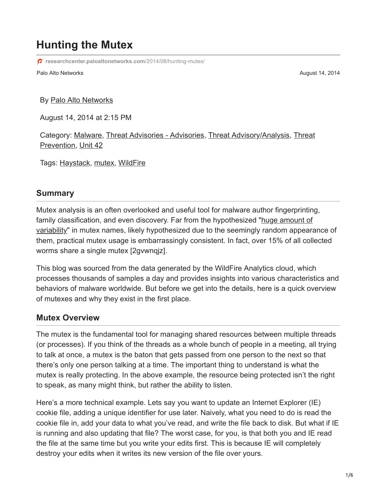# **Hunting the Mutex**

**[researchcenter.paloaltonetworks.com](https://researchcenter.paloaltonetworks.com/2014/08/hunting-mutex/)**/2014/08/hunting-mutex/

Palo Alto Networks **August 14, 2014** August 14, 2014

By [Palo Alto Networks](https://unit42.paloaltonetworks.com/author/paloaltonetworksstaff/)

August 14, 2014 at 2:15 PM

[Category:](https://unit42.paloaltonetworks.com/category/threat-prevention-2/) [Malware](https://unit42.paloaltonetworks.com/category/malware-2/)[,](https://unit42.paloaltonetworks.com/category/threat-prevention-2/) [Threat Advisories - Advisories](https://unit42.paloaltonetworks.com/category/threat-briefs-assessments/threat-advisories-advisories/)[,](https://unit42.paloaltonetworks.com/category/threat-prevention-2/) [Threat Advisory/Analysi](https://unit42.paloaltonetworks.com/category/threat-briefs-assessments/threat-advisory-analysis/)[s, Threat](https://unit42.paloaltonetworks.com/category/threat-prevention-2/) Prevention, [Unit 42](https://unit42.paloaltonetworks.com/category/unit42/)

Tags: [Haystack](https://unit42.paloaltonetworks.com/tag/haystack/), [mutex,](https://unit42.paloaltonetworks.com/tag/mutex/) [WildFire](https://unit42.paloaltonetworks.com/tag/wildfire/)

#### **Summary**

Mutex analysis is an often overlooked and useful tool for malware author fingerprinting, [family classification, and even discovery. Far from the hypothesized "huge amount of](http://resources.infosecinstitute.com/mutexes-analysis-part-one/) variability" in mutex names, likely hypothesized due to the seemingly random appearance of them, practical mutex usage is embarrassingly consistent. In fact, over 15% of all collected worms share a single mutex [2gvwnqjz].

This blog was sourced from the data generated by the WildFire Analytics cloud, which processes thousands of samples a day and provides insights into various characteristics and behaviors of malware worldwide. But before we get into the details, here is a quick overview of mutexes and why they exist in the first place.

#### **Mutex Overview**

The mutex is the fundamental tool for managing shared resources between multiple threads (or processes). If you think of the threads as a whole bunch of people in a meeting, all trying to talk at once, a mutex is the baton that gets passed from one person to the next so that there's only one person talking at a time. The important thing to understand is what the mutex is really protecting. In the above example, the resource being protected isn't the right to speak, as many might think, but rather the ability to listen.

Here's a more technical example. Lets say you want to update an Internet Explorer (IE) cookie file, adding a unique identifier for use later. Naively, what you need to do is read the cookie file in, add your data to what you've read, and write the file back to disk. But what if IE is running and also updating that file? The worst case, for you, is that both you and IE read the file at the same time but you write your edits first. This is because IE will completely destroy your edits when it writes its new version of the file over yours.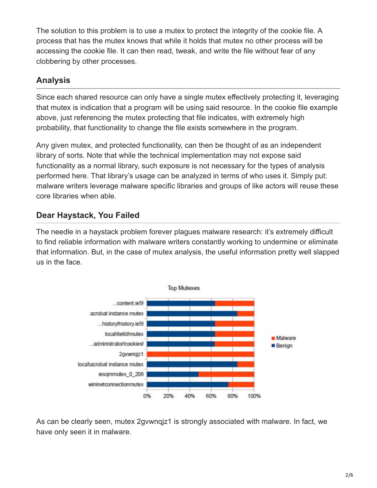The solution to this problem is to use a mutex to protect the integrity of the cookie file. A process that has the mutex knows that while it holds that mutex no other process will be accessing the cookie file. It can then read, tweak, and write the file without fear of any clobbering by other processes.

## **Analysis**

Since each shared resource can only have a single mutex effectively protecting it, leveraging that mutex is indication that a program will be using said resource. In the cookie file example above, just referencing the mutex protecting that file indicates, with extremely high probability, that functionality to change the file exists somewhere in the program.

Any given mutex, and protected functionality, can then be thought of as an independent library of sorts. Note that while the technical implementation may not expose said functionality as a normal library, such exposure is not necessary for the types of analysis performed here. That library's usage can be analyzed in terms of who uses it. Simply put: malware writers leverage malware specific libraries and groups of like actors will reuse these core libraries when able.

# **Dear Haystack, You Failed**

The needle in a haystack problem forever plagues malware research: it's extremely difficult to find reliable information with malware writers constantly working to undermine or eliminate that information. But, in the case of mutex analysis, the useful information pretty well slapped us in the face.



As can be clearly seen, mutex 2gvwnqjz1 is strongly associated with malware. In fact, we have only seen it in malware.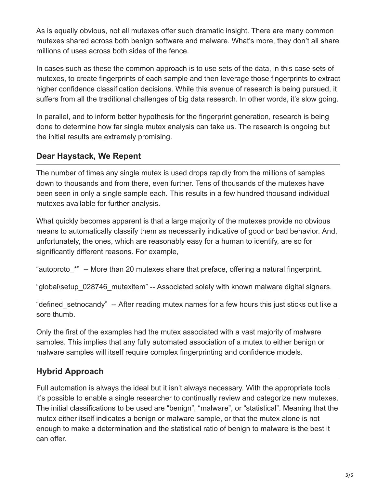As is equally obvious, not all mutexes offer such dramatic insight. There are many common mutexes shared across both benign software and malware. What's more, they don't all share millions of uses across both sides of the fence.

In cases such as these the common approach is to use sets of the data, in this case sets of mutexes, to create fingerprints of each sample and then leverage those fingerprints to extract higher confidence classification decisions. While this avenue of research is being pursued, it suffers from all the traditional challenges of big data research. In other words, it's slow going.

In parallel, and to inform better hypothesis for the fingerprint generation, research is being done to determine how far single mutex analysis can take us. The research is ongoing but the initial results are extremely promising.

#### **Dear Haystack, We Repent**

The number of times any single mutex is used drops rapidly from the millions of samples down to thousands and from there, even further. Tens of thousands of the mutexes have been seen in only a single sample each. This results in a few hundred thousand individual mutexes available for further analysis.

What quickly becomes apparent is that a large majority of the mutexes provide no obvious means to automatically classify them as necessarily indicative of good or bad behavior. And, unfortunately, the ones, which are reasonably easy for a human to identify, are so for significantly different reasons. For example,

"autoproto\_\*" -- More than 20 mutexes share that preface, offering a natural fingerprint.

"global\setup\_028746\_mutexitem" -- Associated solely with known malware digital signers.

"defined setnocandy" -- After reading mutex names for a few hours this just sticks out like a sore thumb.

Only the first of the examples had the mutex associated with a vast majority of malware samples. This implies that any fully automated association of a mutex to either benign or malware samples will itself require complex fingerprinting and confidence models.

### **Hybrid Approach**

Full automation is always the ideal but it isn't always necessary. With the appropriate tools it's possible to enable a single researcher to continually review and categorize new mutexes. The initial classifications to be used are "benign", "malware", or "statistical". Meaning that the mutex either itself indicates a benign or malware sample, or that the mutex alone is not enough to make a determination and the statistical ratio of benign to malware is the best it can offer.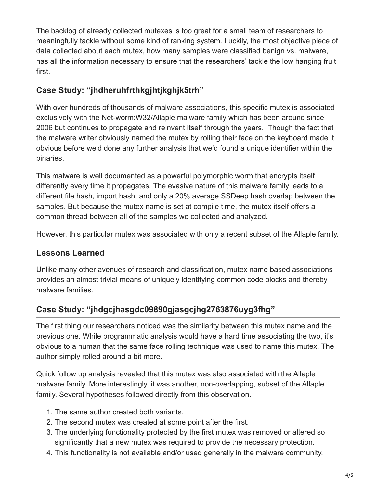The backlog of already collected mutexes is too great for a small team of researchers to meaningfully tackle without some kind of ranking system. Luckily, the most objective piece of data collected about each mutex, how many samples were classified benign vs. malware, has all the information necessary to ensure that the researchers' tackle the low hanging fruit first.

## **Case Study: "jhdheruhfrthkgjhtjkghjk5trh"**

With over hundreds of thousands of malware associations, this specific mutex is associated exclusively with the Net-worm:W32/Allaple malware family which has been around since 2006 but continues to propagate and reinvent itself through the years. Though the fact that the malware writer obviously named the mutex by rolling their face on the keyboard made it obvious before we'd done any further analysis that we'd found a unique identifier within the binaries.

This malware is well documented as a powerful polymorphic worm that encrypts itself differently every time it propagates. The evasive nature of this malware family leads to a different file hash, import hash, and only a 20% average SSDeep hash overlap between the samples. But because the mutex name is set at compile time, the mutex itself offers a common thread between all of the samples we collected and analyzed.

However, this particular mutex was associated with only a recent subset of the Allaple family.

### **Lessons Learned**

Unlike many other avenues of research and classification, mutex name based associations provides an almost trivial means of uniquely identifying common code blocks and thereby malware families.

# **Case Study: "jhdgcjhasgdc09890gjasgcjhg2763876uyg3fhg"**

The first thing our researchers noticed was the similarity between this mutex name and the previous one. While programmatic analysis would have a hard time associating the two, it's obvious to a human that the same face rolling technique was used to name this mutex. The author simply rolled around a bit more.

Quick follow up analysis revealed that this mutex was also associated with the Allaple malware family. More interestingly, it was another, non-overlapping, subset of the Allaple family. Several hypotheses followed directly from this observation.

- 1. The same author created both variants.
- 2. The second mutex was created at some point after the first.
- 3. The underlying functionality protected by the first mutex was removed or altered so significantly that a new mutex was required to provide the necessary protection.
- 4. This functionality is not available and/or used generally in the malware community.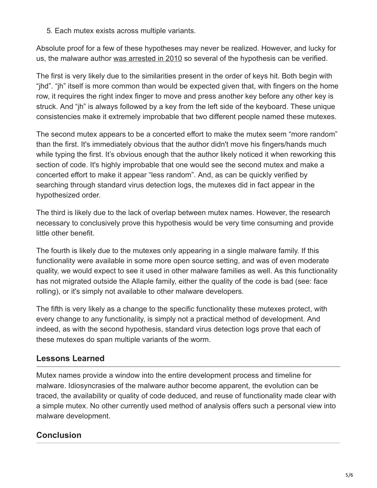5. Each mutex exists across multiple variants.

Absolute proof for a few of these hypotheses may never be realized. However, and lucky for us, the malware author [was arrested in 2010](http://nakedsecurity.sophos.com/2010/03/12/allaple-worm-author-sentenced-jail/) so several of the hypothesis can be verified.

The first is very likely due to the similarities present in the order of keys hit. Both begin with "jhd". "jh" itself is more common than would be expected given that, with fingers on the home row, it requires the right index finger to move and press another key before any other key is struck. And "jh" is always followed by a key from the left side of the keyboard. These unique consistencies make it extremely improbable that two different people named these mutexes.

The second mutex appears to be a concerted effort to make the mutex seem "more random" than the first. It's immediately obvious that the author didn't move his fingers/hands much while typing the first. It's obvious enough that the author likely noticed it when reworking this section of code. It's highly improbable that one would see the second mutex and make a concerted effort to make it appear "less random". And, as can be quickly verified by searching through standard virus detection logs, the mutexes did in fact appear in the hypothesized order.

The third is likely due to the lack of overlap between mutex names. However, the research necessary to conclusively prove this hypothesis would be very time consuming and provide little other benefit.

The fourth is likely due to the mutexes only appearing in a single malware family. If this functionality were available in some more open source setting, and was of even moderate quality, we would expect to see it used in other malware families as well. As this functionality has not migrated outside the Allaple family, either the quality of the code is bad (see: face rolling), or it's simply not available to other malware developers.

The fifth is very likely as a change to the specific functionality these mutexes protect, with every change to any functionality, is simply not a practical method of development. And indeed, as with the second hypothesis, standard virus detection logs prove that each of these mutexes do span multiple variants of the worm.

# **Lessons Learned**

Mutex names provide a window into the entire development process and timeline for malware. Idiosyncrasies of the malware author become apparent, the evolution can be traced, the availability or quality of code deduced, and reuse of functionality made clear with a simple mutex. No other currently used method of analysis offers such a personal view into malware development.

# **Conclusion**